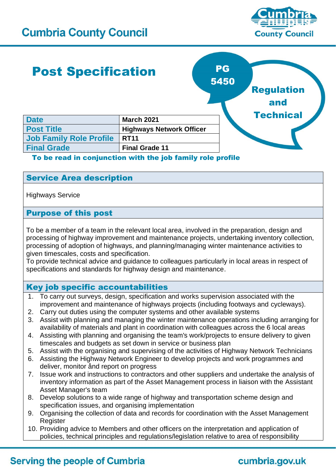

## Post Specification **Date March 2021 Post Title Highways Network Officer Job Family Role Profile RT11 Final Grade Final Grade 11** PG 5450 Regulation and **Technical**

### To be read in conjunction with the job family role profile

### Service Area description

Highways Service

### Purpose of this post

To be a member of a team in the relevant local area, involved in the preparation, design and processing of highway improvement and maintenance projects, undertaking inventory collection, processing of adoption of highways, and planning/managing winter maintenance activities to given timescales, costs and specification.

To provide technical advice and guidance to colleagues particularly in local areas in respect of specifications and standards for highway design and maintenance.

### Key job specific accountabilities

- 1. To carry out surveys, design, specification and works supervision associated with the improvement and maintenance of highways projects (including footways and cycleways).
- 2. Carry out duties using the computer systems and other available systems
- 3. Assist with planning and managing the winter maintenance operations including arranging for availability of materials and plant in coordination with colleagues across the 6 local areas
- 4. Assisting with planning and organising the team's work/projects to ensure delivery to given timescales and budgets as set down in service or business plan
- 5. Assist with the organising and supervising of the activities of Highway Network Technicians
- 6. Assisting the Highway Network Engineer to develop projects and work programmes and deliver, monitor ånd report on progress
- 7. Issue work and instructions to contractors and other suppliers and undertake the analysis of inventory information as part of the Asset Management process in liaison with the Assistant Asset Manager's team
- 8. Develop solutions to a wide range of highway and transportation scheme design and specification issues, and organising implementation
- 9. Organising the collection of data and records for coordination with the Asset Management **Register**
- 10. Providing advice to Members and other officers on the interpretation and application of policies, technical principles and regulations/legislation relative to area of responsibility

## **Serving the people of Cumbria**

# cumbria.gov.uk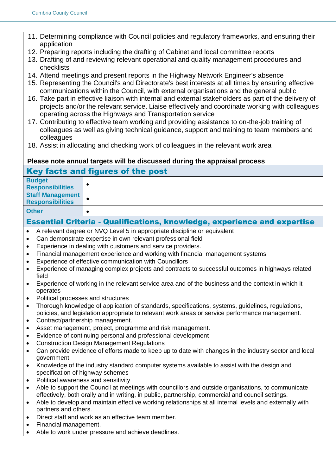- 11. Determining compliance with Council policies and regulatory frameworks, and ensuring their application
- 12. Preparing reports including the drafting of Cabinet and local committee reports
- 13. Drafting of and reviewing relevant operational and quality management procedures and checklists
- 14. Attend meetings and present reports in the Highway Network Engineer's absence
- 15. Representing the Council's and Directorate's best interests at all times by ensuring effective communications within the Council, with external organisations and the general public
- 16. Take part in effective liaison with internal and external stakeholders as part of the delivery of projects and/or the relevant service. Liaise effectively and coordinate working with colleagues operating across the Highways and Transportation service
- 17. Contributing to effective team working and providing assistance to on-the-job training of colleagues as well as giving technical guidance, support and training to team members and colleagues
- 18. Assist in allocating and checking work of colleagues in the relevant work area

#### **Please note annual targets will be discussed during the appraisal process** Key facts and figures of the post

**Budget Responsibilities** • **Staff Management Responsibilities** •

**Other** •

### Essential Criteria - Qualifications, knowledge, experience and expertise

- A relevant degree or NVQ Level 5 in appropriate discipline or equivalent
- Can demonstrate expertise in own relevant professional field
- Experience in dealing with customers and service providers.
- Financial management experience and working with financial management systems
- Experience of effective communication with Councillors
- Experience of managing complex projects and contracts to successful outcomes in highways related field
- Experience of working in the relevant service area and of the business and the context in which it operates
- Political processes and structures
- Thorough knowledge of application of standards, specifications, systems, guidelines, regulations, policies, and legislation appropriate to relevant work areas or service performance management.
- Contract/partnership management.
- Asset management, project, programme and risk management.
- Evidence of continuing personal and professional development
- Construction Design Management Regulations
- Can provide evidence of efforts made to keep up to date with changes in the industry sector and local government
- Knowledge of the industry standard computer systems available to assist with the design and specification of highway schemes
- Political awareness and sensitivity
- Able to support the Council at meetings with councillors and outside organisations, to communicate effectively, both orally and in writing, in public, partnership, commercial and council settings.
- Able to develop and maintain effective working relationships at all internal levels and externally with partners and others.
- Direct staff and work as an effective team member.
- Financial management.
- Able to work under pressure and achieve deadlines.